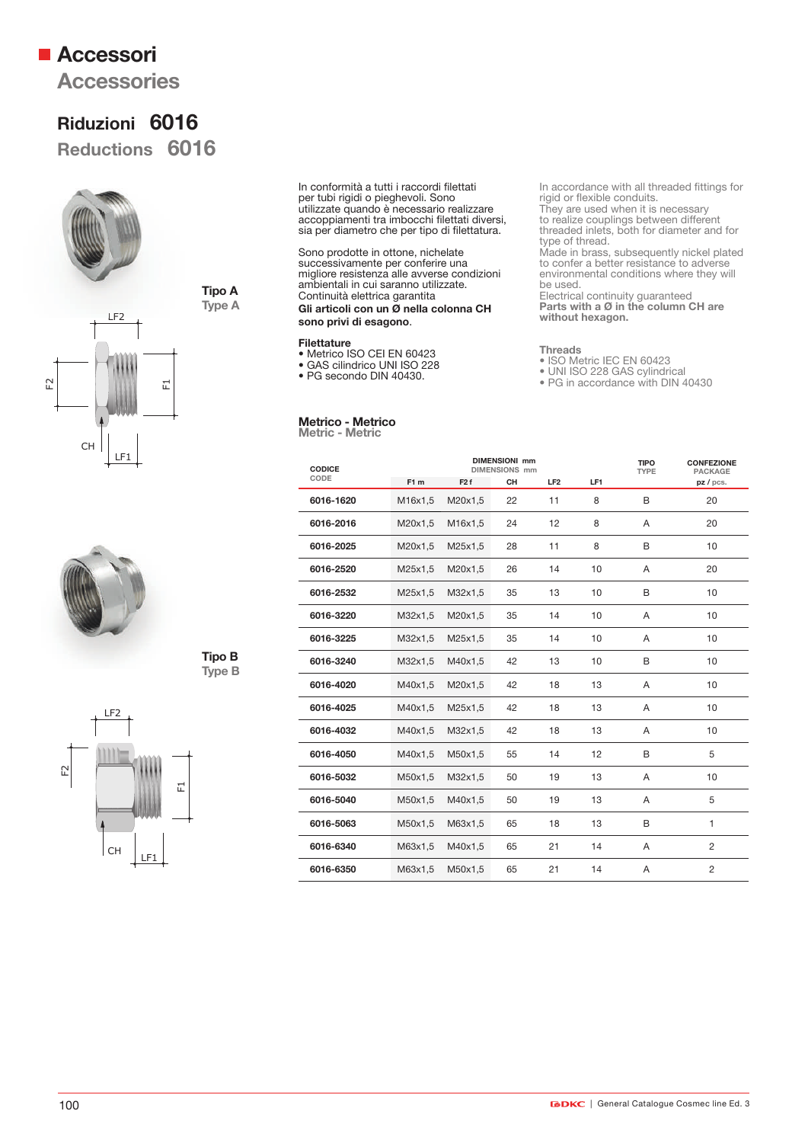**Accessories**

## **Riduzioni 6016**

**Reductions 6016**









**Tipo B Type B**



In conformità a tutti i raccordi filettati per tubi rigidi o pieghevoli. Sono utilizzate quando è necessario realizzare accoppiamenti tra imbocchi filettati diversi, sia per diametro che per tipo di filettatura.

Sono prodotte in ottone, nichelate successivamente per conferire una migliore resistenza alle avverse condizioni ambientali in cui saranno utilizzate. Continuità elettrica garantita **Gli articoli con un Ø nella colonna CH** 

### **sono privi di esagono**.

#### **Filettature**

- Metrico ISO CEI EN 60423
- GAS cilindrico UNI ISO 228 • PG secondo DIN 40430.
- 

#### **Metrico - Metrico Metric - Metric**

In accordance with all threaded fittings for rigid or flexible conduits.

They are used when it is necessary to realize couplings between different threaded inlets, both for diameter and for type of thread.

Made in brass, subsequently nickel plated to confer a better resistance to adverse environmental conditions where they will be used.

Electrical continuity guaranteed **Parts with a Ø in the column CH are without hexagon.**

#### **Threads**

- ISO Metric IEC EN 60423
- UNI ISO 228 GAS cylindrical
- PG in accordance with DIN 40430

| <b>CODICE</b> |         | <b>DIMENSIONI mm</b><br><b>DIMENSIONS mm</b> |    | <b>TIPO</b><br><b>TYPE</b> | <b>CONFEZIONE</b><br>PACKAGE |   |                |
|---------------|---------|----------------------------------------------|----|----------------------------|------------------------------|---|----------------|
| CODE          | F1m     | F <sub>2f</sub>                              | CH | LF <sub>2</sub>            | LF <sub>1</sub>              |   | pz / pcs.      |
| 6016-1620     | M16x1,5 | M20x1,5                                      | 22 | 11                         | 8                            | B | 20             |
| 6016-2016     | M20x1.5 | M16x1.5                                      | 24 | 12                         | 8                            | A | 20             |
| 6016-2025     | M20x1,5 | M25x1,5                                      | 28 | 11                         | 8                            | B | 10             |
| 6016-2520     | M25x1.5 | M20x1.5                                      | 26 | 14                         | 10                           | A | 20             |
| 6016-2532     | M25x1,5 | M32x1,5                                      | 35 | 13                         | 10                           | B | 10             |
| 6016-3220     | M32x1.5 | M20x1.5                                      | 35 | 14                         | 10                           | A | 10             |
| 6016-3225     | M32x1.5 | M25x1.5                                      | 35 | 14                         | 10                           | A | 10             |
| 6016-3240     | M32x1,5 | M40x1,5                                      | 42 | 13                         | 10                           | B | 10             |
| 6016-4020     | M40x1,5 | M20x1,5                                      | 42 | 18                         | 13                           | A | 10             |
| 6016-4025     | M40x1.5 | M25x1.5                                      | 42 | 18                         | 13                           | A | 10             |
| 6016-4032     | M40x1,5 | M32x1,5                                      | 42 | 18                         | 13                           | A | 10             |
| 6016-4050     | M40x1.5 | M50x1.5                                      | 55 | 14                         | 12                           | B | 5              |
| 6016-5032     | M50x1,5 | M32x1,5                                      | 50 | 19                         | 13                           | A | 10             |
| 6016-5040     | M50x1,5 | M40x1.5                                      | 50 | 19                         | 13                           | A | 5              |
| 6016-5063     | M50x1,5 | M63x1.5                                      | 65 | 18                         | 13                           | B | 1              |
| 6016-6340     | M63x1,5 | M40x1,5                                      | 65 | 21                         | 14                           | A | $\overline{2}$ |
| 6016-6350     | M63x1.5 | M50x1.5                                      | 65 | 21                         | 14                           | A | $\overline{2}$ |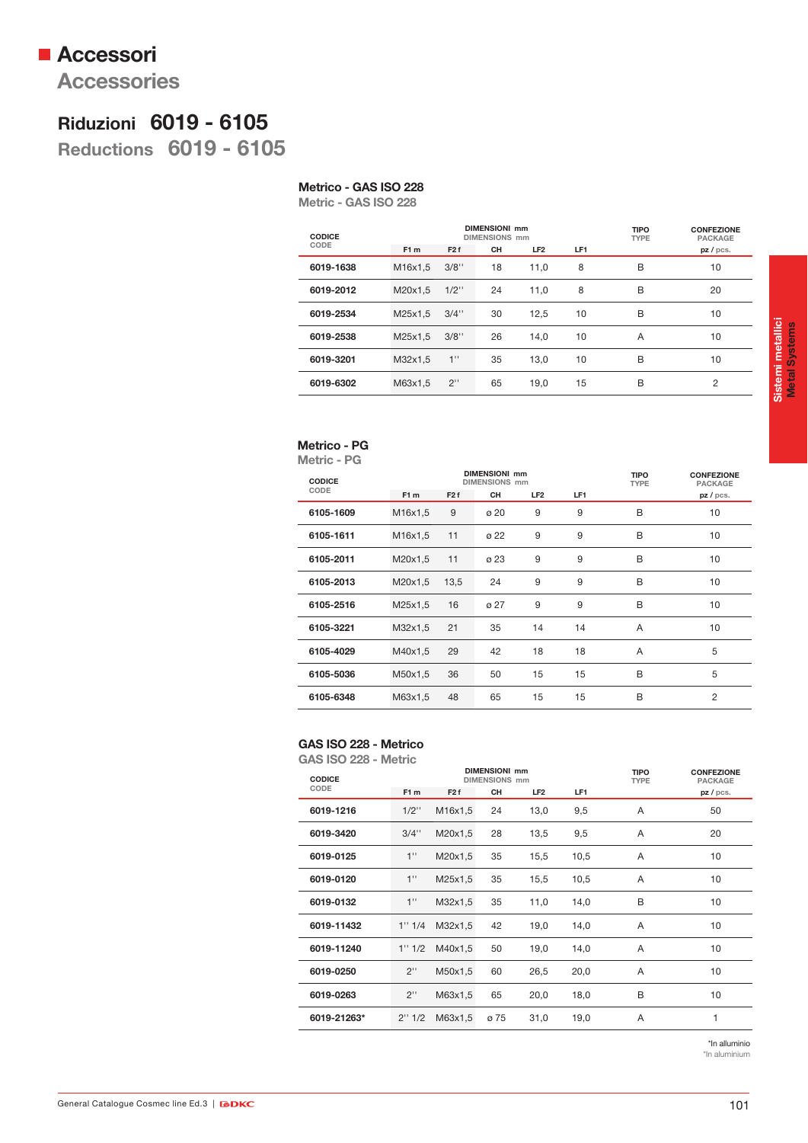**Accessories**

### **Riduzioni 6019 - 6105**

**Reductions 6019 - 6105**

#### **Metrico - GAS ISO 228**

**Metric - GAS ISO 228**

| <b>CODICE</b><br>CODE |         |                 | <b>DIMENSIONI mm</b><br><b>DIMENSIONS mm</b> | <b>TIPO</b><br><b>TYPE</b> | <b>CONFEZIONE</b><br><b>PACKAGE</b> |   |                |
|-----------------------|---------|-----------------|----------------------------------------------|----------------------------|-------------------------------------|---|----------------|
|                       | F1m     | F <sub>2f</sub> | CH                                           | LF <sub>2</sub>            | LF1                                 |   | pz/pcs.        |
| 6019-1638             | M16x1,5 | $3/8$ "         | 18                                           | 11,0                       | 8                                   | B | 10             |
| 6019-2012             | M20x1,5 | $1/2$ "         | 24                                           | 11,0                       | 8                                   | B | 20             |
| 6019-2534             | M25x1,5 | $3/4$ "         | 30                                           | 12,5                       | 10                                  | B | 10             |
| 6019-2538             | M25x1.5 | $3/8$ "         | 26                                           | 14.0                       | 10                                  | A | 10             |
| 6019-3201             | M32x1.5 | 1"              | 35                                           | 13.0                       | 10                                  | B | 10             |
| 6019-6302             | M63x1,5 | 2"              | 65                                           | 19,0                       | 15                                  | B | $\overline{2}$ |

### **Metrico - PG**

**Metric - PG**

| <b>CODICE</b> |         | <b>DIMENSIONI mm</b><br><b>DIMENSIONS mm</b> | <b>TIPO</b><br><b>TYPE</b> | <b>CONFEZIONE</b><br><b>PACKAGE</b> |                 |   |                |
|---------------|---------|----------------------------------------------|----------------------------|-------------------------------------|-----------------|---|----------------|
| CODE          | F1m     | F <sub>2f</sub>                              | CH                         | LF <sub>2</sub>                     | LF <sub>1</sub> |   | pz / pcs.      |
| 6105-1609     | M16x1,5 | 9                                            | ø 20                       | 9                                   | 9               | B | 10             |
| 6105-1611     | M16x1,5 | 11                                           | ø 22                       | 9                                   | 9               | B | 10             |
| 6105-2011     | M20x1,5 | 11                                           | ø 23                       | 9                                   | 9               | B | 10             |
| 6105-2013     | M20x1,5 | 13,5                                         | 24                         | 9                                   | 9               | B | 10             |
| 6105-2516     | M25x1,5 | 16                                           | ø 27                       | 9                                   | 9               | B | 10             |
| 6105-3221     | M32x1,5 | 21                                           | 35                         | 14                                  | 14              | A | 10             |
| 6105-4029     | M40x1,5 | 29                                           | 42                         | 18                                  | 18              | A | 5              |
| 6105-5036     | M50x1,5 | 36                                           | 50                         | 15                                  | 15              | B | 5              |
| 6105-6348     | M63x1,5 | 48                                           | 65                         | 15                                  | 15              | B | $\overline{2}$ |

### **GAS ISO 228 - Metrico**

| GAS ISO 228 - Metric |         |                 |                                              |                            |                                     |   |         |
|----------------------|---------|-----------------|----------------------------------------------|----------------------------|-------------------------------------|---|---------|
| CODICE               |         |                 | <b>DIMENSIONI mm</b><br><b>DIMENSIONS mm</b> | <b>TIPO</b><br><b>TYPE</b> | <b>CONFEZIONE</b><br><b>PACKAGE</b> |   |         |
| CODE                 | F1m     | F <sub>2f</sub> | CH                                           | LF <sub>2</sub>            | LF <sub>1</sub>                     |   | pz/pcs. |
| 6019-1216            | $1/2$ " | M16x1,5         | 24                                           | 13,0                       | 9,5                                 | A | 50      |
| 6019-3420            | 3/4"    | M20x1,5         | 28                                           | 13,5                       | 9,5                                 | A | 20      |
| 6019-0125            | 1"      | M20x1,5         | 35                                           | 15,5                       | 10,5                                | A | 10      |
| 6019-0120            | 1"      | M25x1,5         | 35                                           | 15,5                       | 10,5                                | A | 10      |
| 6019-0132            | 1"      | M32x1,5         | 35                                           | 11,0                       | 14,0                                | B | 10      |
| 6019-11432           | 1''1/4  | M32x1,5         | 42                                           | 19,0                       | 14,0                                | A | 10      |
| 6019-11240           | 1''1/2  | M40x1,5         | 50                                           | 19,0                       | 14,0                                | A | 10      |
| 6019-0250            | 2"      | M50x1,5         | 60                                           | 26,5                       | 20,0                                | A | 10      |
| 6019-0263            | 2"      | M63x1,5         | 65                                           | 20,0                       | 18,0                                | B | 10      |
| 6019-21263*          | 2''1/2  | M63x1,5         | ø 75                                         | 31,0                       | 19,0                                | A | 1       |

\*In alluminio \*In aluminium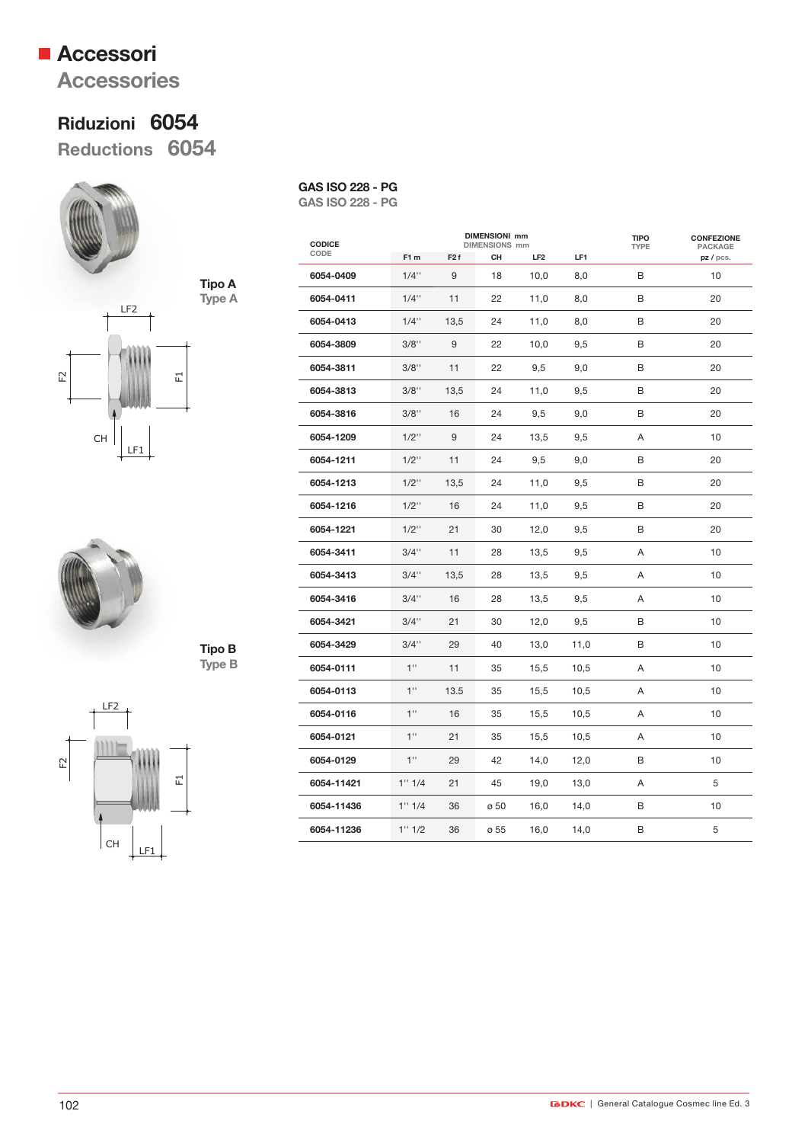**Accessories**

## **Riduzioni 6054**

**Reductions 6054**





**Tipo B Type B**



| <b>GAS ISO 228 - PG</b>                   |  |  |
|-------------------------------------------|--|--|
| $\sim$ $\sim$ $\sim$ $\sim$ $\sim$ $\sim$ |  |  |

**GAS ISO 228 - PG**

| <b>CODICE</b> |         |                 | <b>DIMENSIONI mm</b><br><b>DIMENSIONS mm</b> |                 |      | <b>TIPO</b><br><b>CONFEZIONE</b><br><b>TYPE</b> |                             |  |  |  |
|---------------|---------|-----------------|----------------------------------------------|-----------------|------|-------------------------------------------------|-----------------------------|--|--|--|
| CODE          | F1 m    | F <sub>2f</sub> | CH                                           | LF <sub>2</sub> | LF1  |                                                 | <b>PACKAGE</b><br>pz / pcs. |  |  |  |
| 6054-0409     | $1/4$ " | 9               | 18                                           | 10.0            | 8.0  | B                                               | 10                          |  |  |  |
| 6054-0411     | $1/4$ " | 11              | 22                                           | 11,0            | 8,0  | В                                               | 20                          |  |  |  |
| 6054-0413     | $1/4$ " | 13,5            | 24                                           | 11,0            | 8,0  | B                                               | 20                          |  |  |  |
| 6054-3809     | 3/8"    | 9               | 22                                           | 10,0            | 9,5  | в                                               | 20                          |  |  |  |
| 6054-3811     | 3/8"    | 11              | 22                                           | 9,5             | 9,0  | B                                               | 20                          |  |  |  |
| 6054-3813     | 3/8"    | 13,5            | 24                                           | 11,0            | 9,5  | B                                               | 20                          |  |  |  |
| 6054-3816     | 3/8"    | 16              | 24                                           | 9,5             | 9,0  | B                                               | 20                          |  |  |  |
| 6054-1209     | $1/2$ " | 9               | 24                                           | 13,5            | 9,5  | Α                                               | 10                          |  |  |  |
| 6054-1211     | $1/2$ " | 11              | 24                                           | 9,5             | 9,0  | B                                               | 20                          |  |  |  |
| 6054-1213     | $1/2$ " | 13,5            | 24                                           | 11,0            | 9,5  | B                                               | 20                          |  |  |  |
| 6054-1216     | $1/2$ " | 16              | 24                                           | 11,0            | 9,5  | B                                               | 20                          |  |  |  |
| 6054-1221     | $1/2$ " | 21              | 30                                           | 12,0            | 9,5  | B                                               | 20                          |  |  |  |
| 6054-3411     | 3/4"    | 11              | 28                                           | 13,5            | 9,5  | Α                                               | 10                          |  |  |  |
| 6054-3413     | 3/4"    | 13,5            | 28                                           | 13,5            | 9,5  | Α                                               | 10                          |  |  |  |
| 6054-3416     | $3/4$ " | 16              | 28                                           | 13,5            | 9,5  | A                                               | 10                          |  |  |  |
| 6054-3421     | 3/4"    | 21              | 30                                           | 12,0            | 9,5  | B                                               | 10                          |  |  |  |
| 6054-3429     | 3/4"    | 29              | 40                                           | 13,0            | 11,0 | B                                               | 10                          |  |  |  |
| 6054-0111     | 1"      | 11              | 35                                           | 15,5            | 10,5 | A                                               | 10                          |  |  |  |
| 6054-0113     | 1"      | 13.5            | 35                                           | 15,5            | 10,5 | A                                               | 10                          |  |  |  |
| 6054-0116     | 1"      | 16              | 35                                           | 15,5            | 10,5 | A                                               | 10                          |  |  |  |
| 6054-0121     | 1"      | 21              | 35                                           | 15,5            | 10,5 | Α                                               | 10                          |  |  |  |
| 6054-0129     | 1"      | 29              | 42                                           | 14,0            | 12,0 | B                                               | 10                          |  |  |  |
| 6054-11421    | 1''1/4  | 21              | 45                                           | 19,0            | 13,0 | A                                               | 5                           |  |  |  |
| 6054-11436    | 1" 1/4  | 36              | ø 50                                         | 16,0            | 14,0 | B                                               | 10                          |  |  |  |
| 6054-11236    | 1''1/2  | 36              | ø 55                                         | 16,0            | 14,0 | B                                               | 5                           |  |  |  |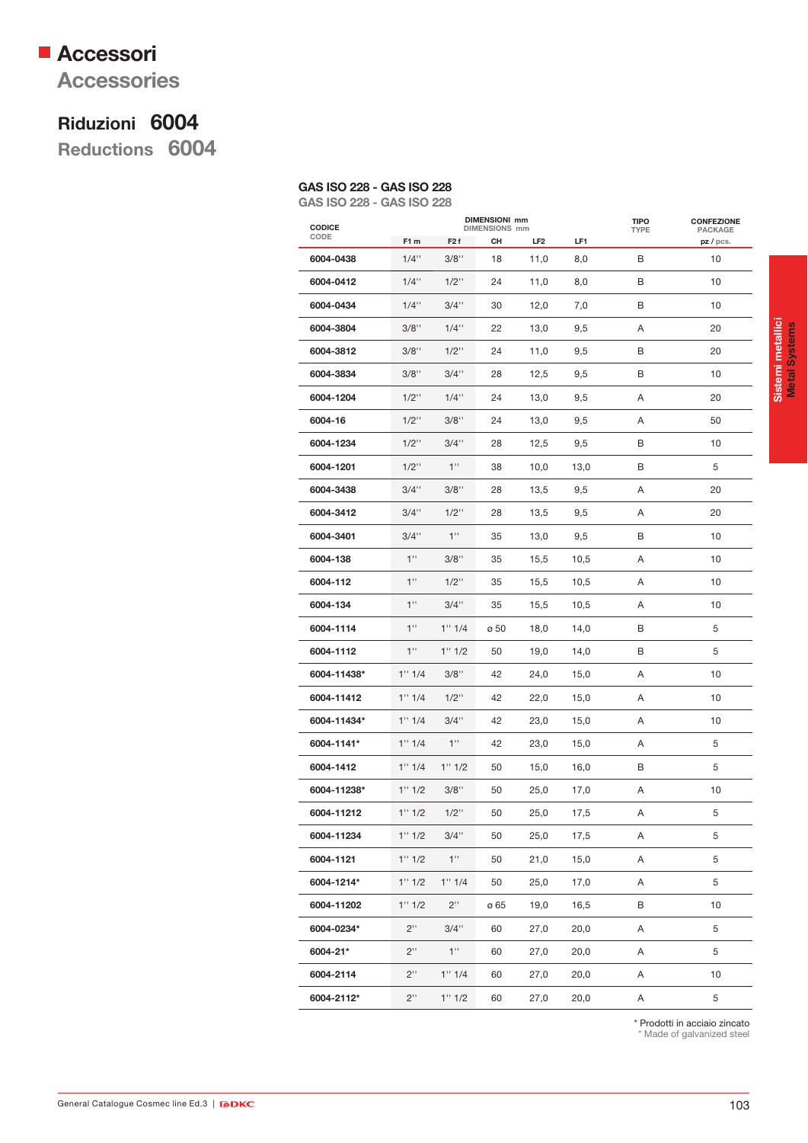**Accessories**

## **Riduzioni 6004**

**Reductions 6004**

### **GAS ISO 228 - GAS ISO 228**

**GAS ISO 228 - GAS ISO 228**

| <b>CODICE</b> |         |                 | <b>DIMENSIONI mm</b><br><b>DIMENSIONS mm</b> |                 |      | <b>TIPO</b><br><b>TYPE</b> | <b>CONFEZIONE</b><br><b>PACKAGE</b> |
|---------------|---------|-----------------|----------------------------------------------|-----------------|------|----------------------------|-------------------------------------|
| CODE          | F1 m    | F <sub>2f</sub> | CН                                           | LF <sub>2</sub> | LF1  |                            | pz / pcs.                           |
| 6004-0438     | $1/4$ " | 3/8"            | 18                                           | 11,0            | 8,0  | B                          | 10                                  |
| 6004-0412     | $1/4$ " | $1/2$ "         | 24                                           | 11,0            | 8,0  | B                          | 10                                  |
| 6004-0434     | $1/4$ " | $3/4$ "         | 30                                           | 12,0            | 7,0  | В                          | 10                                  |
| 6004-3804     | 3/8"    | $1/4$ "         | 22                                           | 13,0            | 9,5  | Α                          | 20                                  |
| 6004-3812     | 3/8"    | $1/2$ "         | 24                                           | 11,0            | 9,5  | В                          | 20                                  |
| 6004-3834     | 3/8"    | $3/4$ "         | 28                                           | 12,5            | 9,5  | В                          | 10                                  |
| 6004-1204     | $1/2$ " | $1/4$ "         | 24                                           | 13,0            | 9,5  | Α                          | 20                                  |
| 6004-16       | $1/2$ " | 3/8"            | 24                                           | 13,0            | 9,5  | Α                          | 50                                  |
| 6004-1234     | $1/2$ " | $3/4$ "         | 28                                           | 12,5            | 9,5  | В                          | 10                                  |
| 6004-1201     | $1/2$ " | 1"              | 38                                           | 10,0            | 13,0 | В                          | 5                                   |
| 6004-3438     | 3/4"    | $3/8$ "         | 28                                           | 13,5            | 9,5  | A                          | 20                                  |
| 6004-3412     | 3/4"    | $1/2$ "         | 28                                           | 13,5            | 9,5  | Α                          | 20                                  |
| 6004-3401     | 3/4"    | 1"              | 35                                           | 13,0            | 9,5  | В                          | 10                                  |
| 6004-138      | 1"      | 3/8"            | 35                                           | 15,5            | 10,5 | Α                          | 10                                  |
| 6004-112      | 1"      | $1/2$ "         | 35                                           | 15,5            | 10,5 | Α                          | 10                                  |
| 6004-134      | 1"      | $3/4$ "         | 35                                           | 15,5            | 10,5 | Α                          | 10                                  |
| 6004-1114     | 1"      | 1'' 1/4         | ø 50                                         | 18,0            | 14,0 | В                          | 5                                   |
| 6004-1112     | 1"      | 1''1/2          | 50                                           | 19,0            | 14,0 | В                          | 5                                   |
| 6004-11438*   | 1''1/4  | 3/8"            | 42                                           | 24,0            | 15,0 | Α                          | 10                                  |
| 6004-11412    | 1''1/4  | $1/2$ "         | 42                                           | 22,0            | 15,0 | Α                          | 10                                  |
| 6004-11434*   | 1''1/4  | $3/4$ "         | 42                                           | 23,0            | 15,0 | Α                          | 10                                  |
| 6004-1141*    | 1''1/4  | 1"              | 42                                           | 23,0            | 15,0 | Α                          | 5                                   |
| 6004-1412     | 1''1/4  | 1''1/2          | 50                                           | 15,0            | 16,0 | В                          | 5                                   |
| 6004-11238*   | 1''1/2  | 3/8"            | 50                                           | 25,0            | 17,0 | Α                          | 10                                  |
| 6004-11212    | 1''1/2  | $1/2$ "         | 50                                           | 25,0            | 17,5 | Α                          | 5                                   |
| 6004-11234    | 1''1/2  | $3/4$ "         | 50                                           | 25,0            | 17,5 | Α                          | 5                                   |
| 6004-1121     | 1''1/2  | $1^{\rm H}$     | 50                                           | 21,0            | 15,0 | Α                          | 5                                   |
| 6004-1214*    | 1''1/2  | 1''1/4          | 50                                           | 25,0            | 17,0 | Α                          | 5                                   |
| 6004-11202    | 1''1/2  | 2"              | ø 65                                         | 19,0            | 16,5 | В                          | 10                                  |
| 6004-0234*    | 2"      | $3/4$ "         | 60                                           | 27,0            | 20,0 | Α                          | 5                                   |
| 6004-21*      | 2"      | 1"              | 60                                           | 27,0            | 20,0 | Α                          | 5                                   |
| 6004-2114     | $2$ "   | 1''1/4          | 60                                           | 27,0            | 20,0 | Α                          | 10                                  |
| 6004-2112*    | $2$ "   | 1''1/2          | 60                                           | 27,0            | 20,0 | Α                          | 5                                   |

\* Prodotti in acciaio zincato \* Made of galvanized steel

General Catalogue Cosmec line Ed.3 | **EDKC** 2021 2022 2022 2022 2023 2022 2023 2034 2032 2033 2034 2032 2033 204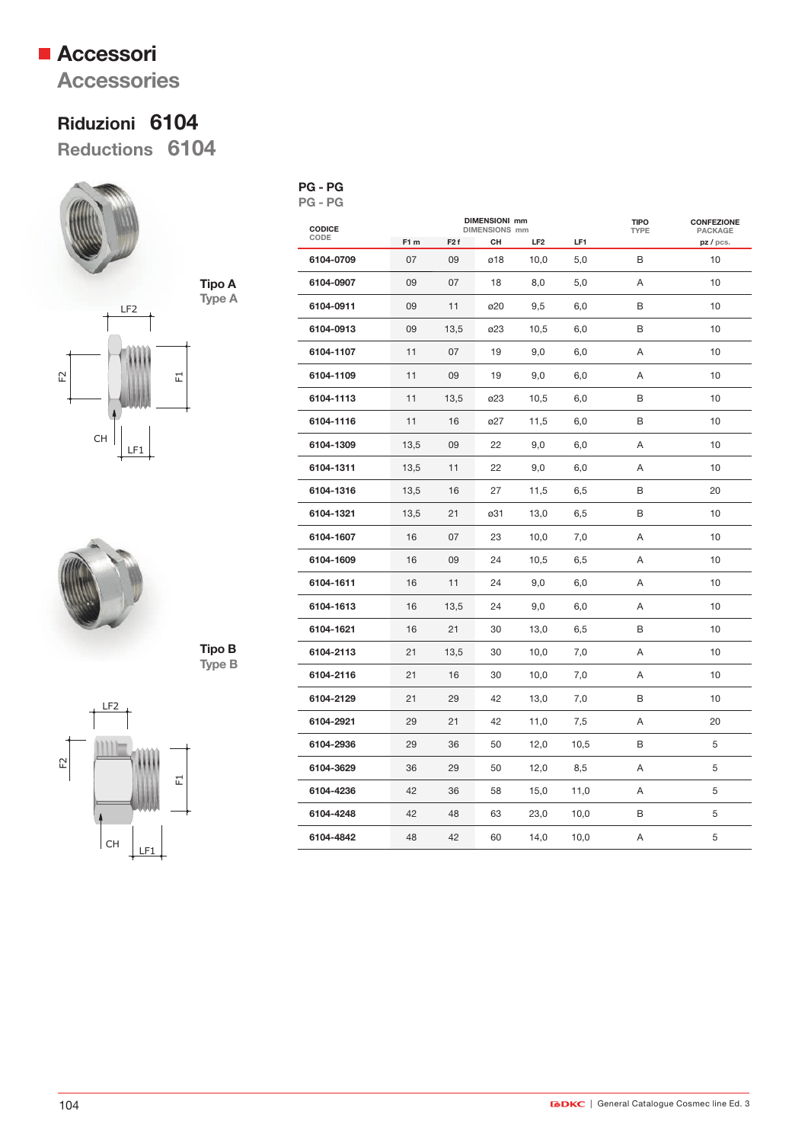**Accessories** 

### Riduzioni 6104

Reductions 6104





**Tipo B** Type B



| <b>CODICE</b> |      |                 | <b>DIMENSIONI mm</b><br><b>DIMENSIONS mm</b> |                 |      | <b>TIPO</b><br><b>CONFEZIONE</b><br>TYPE<br><b>PACKAGE</b> |           |  |  |
|---------------|------|-----------------|----------------------------------------------|-----------------|------|------------------------------------------------------------|-----------|--|--|
| CODE          | F1 m | F <sub>2f</sub> | CH                                           | LF <sub>2</sub> | LF1  |                                                            | pz / pcs. |  |  |
| 6104-0709     | 07   | 09              | ø18                                          | 10,0            | 5,0  | B                                                          | 10        |  |  |
| 6104-0907     | 09   | 07              | 18                                           | 8,0             | 5,0  | A                                                          | 10        |  |  |
| 6104-0911     | 09   | 11              | ø20                                          | 9,5             | 6,0  | B                                                          | 10        |  |  |
| 6104-0913     | 09   | 13,5            | ø23                                          | 10,5            | 6,0  | B                                                          | 10        |  |  |
| 6104-1107     | 11   | 07              | 19                                           | 9,0             | 6,0  | Α                                                          | 10        |  |  |
| 6104-1109     | 11   | 09              | 19                                           | 9,0             | 6,0  | A                                                          | 10        |  |  |
| 6104-1113     | 11   | 13,5            | ø23                                          | 10,5            | 6,0  | B                                                          | 10        |  |  |
| 6104-1116     | 11   | 16              | ø27                                          | 11,5            | 6,0  | B                                                          | 10        |  |  |
| 6104-1309     | 13,5 | 09              | 22                                           | 9,0             | 6,0  | Α                                                          | 10        |  |  |
| 6104-1311     | 13,5 | 11              | 22                                           | 9,0             | 6,0  | A                                                          | 10        |  |  |
| 6104-1316     | 13,5 | 16              | 27                                           | 11,5            | 6,5  | B                                                          | 20        |  |  |
| 6104-1321     | 13,5 | 21              | ø31                                          | 13,0            | 6,5  | В                                                          | 10        |  |  |
| 6104-1607     | 16   | 07              | 23                                           | 10,0            | 7,0  | A                                                          | 10        |  |  |
| 6104-1609     | 16   | 09              | 24                                           | 10,5            | 6,5  | A                                                          | 10        |  |  |
| 6104-1611     | 16   | 11              | 24                                           | 9,0             | 6,0  | A                                                          | 10        |  |  |
| 6104-1613     | 16   | 13,5            | 24                                           | 9,0             | 6,0  | A                                                          | 10        |  |  |
| 6104-1621     | 16   | 21              | 30                                           | 13,0            | 6,5  | В                                                          | 10        |  |  |
| 6104-2113     | 21   | 13,5            | 30                                           | 10,0            | 7,0  | A                                                          | 10        |  |  |
| 6104-2116     | 21   | 16              | 30                                           | 10,0            | 7,0  | A                                                          | 10        |  |  |
| 6104-2129     | 21   | 29              | 42                                           | 13,0            | 7,0  | В                                                          | 10        |  |  |
| 6104-2921     | 29   | 21              | 42                                           | 11,0            | 7,5  | Α                                                          | 20        |  |  |
| 6104-2936     | 29   | 36              | 50                                           | 12,0            | 10,5 | В                                                          | 5         |  |  |
| 6104-3629     | 36   | 29              | 50                                           | 12,0            | 8,5  | Α                                                          | 5         |  |  |
| 6104-4236     | 42   | 36              | 58                                           | 15,0            | 11,0 | Α                                                          | 5         |  |  |
| 6104-4248     | 42   | 48              | 63                                           | 23,0            | 10,0 | В                                                          | 5         |  |  |
| 6104-4842     | 48   | 42              | 60                                           | 14.0            | 10.0 | Α                                                          | 5         |  |  |

j.  $\overline{a}$